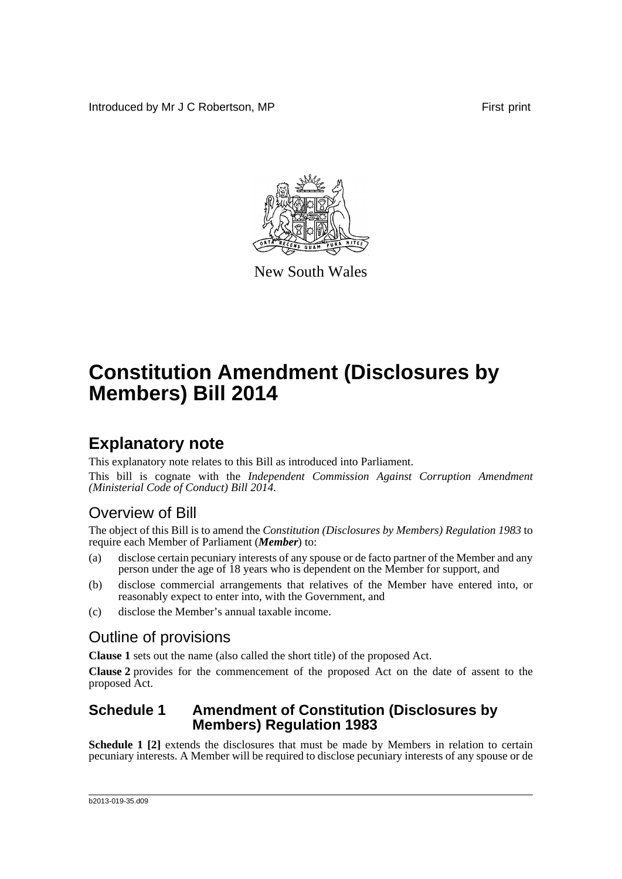Introduced by Mr J C Robertson, MP **First** print



New South Wales

# **Constitution Amendment (Disclosures by Members) Bill 2014**

### **Explanatory note**

This explanatory note relates to this Bill as introduced into Parliament.

This bill is cognate with the *Independent Commission Against Corruption Amendment (Ministerial Code of Conduct) Bill 2014*.

### Overview of Bill

The object of this Bill is to amend the *Constitution (Disclosures by Members) Regulation 1983* to require each Member of Parliament (*Member*) to:

- (a) disclose certain pecuniary interests of any spouse or de facto partner of the Member and any person under the age of 18 years who is dependent on the Member for support, and
- (b) disclose commercial arrangements that relatives of the Member have entered into, or reasonably expect to enter into, with the Government, and
- (c) disclose the Member's annual taxable income.

### Outline of provisions

**Clause 1** sets out the name (also called the short title) of the proposed Act.

**Clause 2** provides for the commencement of the proposed Act on the date of assent to the proposed Act.

#### **Schedule 1 Amendment of Constitution (Disclosures by Members) Regulation 1983**

**Schedule 1 [2]** extends the disclosures that must be made by Members in relation to certain pecuniary interests. A Member will be required to disclose pecuniary interests of any spouse or de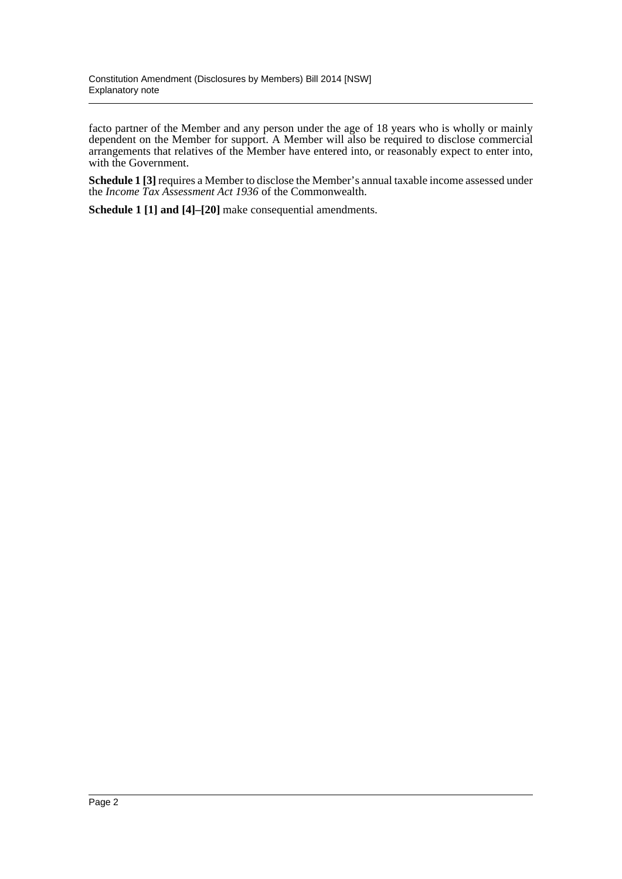facto partner of the Member and any person under the age of 18 years who is wholly or mainly dependent on the Member for support. A Member will also be required to disclose commercial arrangements that relatives of the Member have entered into, or reasonably expect to enter into, with the Government.

**Schedule 1 [3]** requires a Member to disclose the Member's annual taxable income assessed under the *Income Tax Assessment Act 1936* of the Commonwealth.

**Schedule 1 [1] and [4]–[20]** make consequential amendments.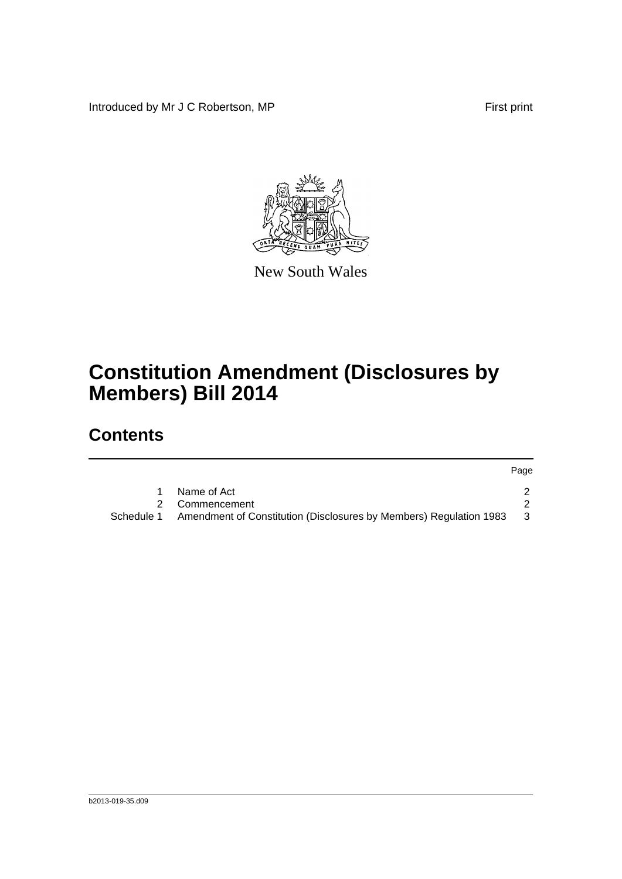Introduced by Mr J C Robertson, MP First print



New South Wales

# **Constitution Amendment (Disclosures by Members) Bill 2014**

## **Contents**

|            |                                                                    | Page |
|------------|--------------------------------------------------------------------|------|
|            | Name of Act                                                        |      |
|            | 2 Commencement                                                     |      |
| Schedule 1 | Amendment of Constitution (Disclosures by Members) Regulation 1983 | - 3  |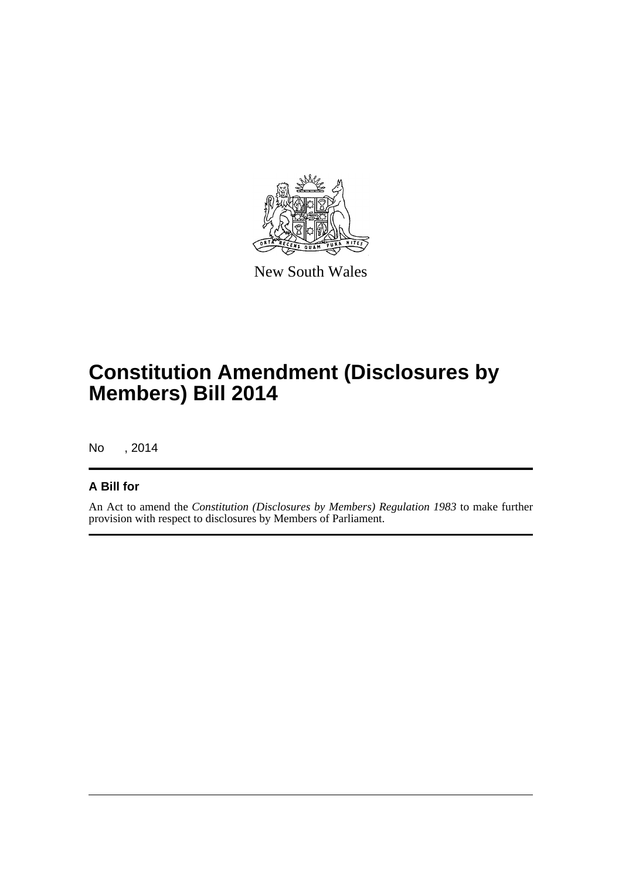

New South Wales

# **Constitution Amendment (Disclosures by Members) Bill 2014**

No , 2014

#### **A Bill for**

An Act to amend the *Constitution (Disclosures by Members) Regulation 1983* to make further provision with respect to disclosures by Members of Parliament.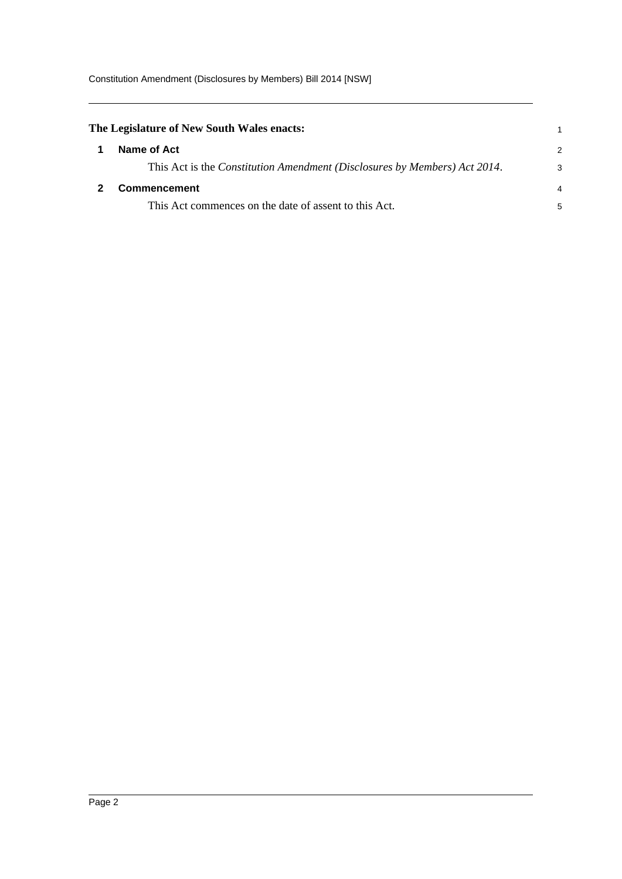<span id="page-4-1"></span><span id="page-4-0"></span>

| The Legislature of New South Wales enacts:                                |   |
|---------------------------------------------------------------------------|---|
| Name of Act                                                               | 2 |
| This Act is the Constitution Amendment (Disclosures by Members) Act 2014. | 3 |
| Commencement                                                              | 4 |
| This Act commences on the date of assent to this Act.                     | 5 |
|                                                                           |   |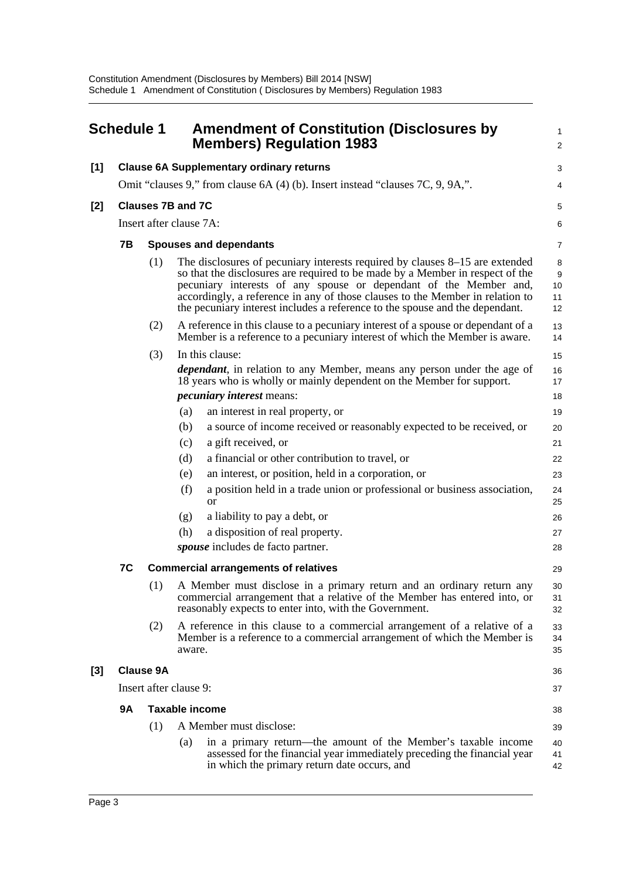<span id="page-5-0"></span>

|       | <b>Schedule 1</b> |                  | <b>Amendment of Constitution (Disclosures by</b><br><b>Members) Regulation 1983</b>                                                                                                                                                                                                                                                                                                                 | 1<br>$\overline{\mathbf{c}}$ |
|-------|-------------------|------------------|-----------------------------------------------------------------------------------------------------------------------------------------------------------------------------------------------------------------------------------------------------------------------------------------------------------------------------------------------------------------------------------------------------|------------------------------|
| $[1]$ |                   |                  | <b>Clause 6A Supplementary ordinary returns</b>                                                                                                                                                                                                                                                                                                                                                     | 3                            |
|       |                   |                  | Omit "clauses 9," from clause 6A (4) (b). Insert instead "clauses 7C, 9, 9A,".                                                                                                                                                                                                                                                                                                                      | 4                            |
| [2]   |                   |                  | <b>Clauses 7B and 7C</b>                                                                                                                                                                                                                                                                                                                                                                            | 5                            |
|       |                   |                  | Insert after clause 7A:                                                                                                                                                                                                                                                                                                                                                                             | 6                            |
|       | 7В                |                  | <b>Spouses and dependants</b>                                                                                                                                                                                                                                                                                                                                                                       | 7                            |
|       |                   | (1)              | The disclosures of pecuniary interests required by clauses 8–15 are extended<br>so that the disclosures are required to be made by a Member in respect of the<br>pecuniary interests of any spouse or dependant of the Member and,<br>accordingly, a reference in any of those clauses to the Member in relation to<br>the pecuniary interest includes a reference to the spouse and the dependant. | 8<br>9<br>10<br>11<br>12     |
|       |                   | (2)              | A reference in this clause to a pecuniary interest of a spouse or dependant of a<br>Member is a reference to a pecuniary interest of which the Member is aware.                                                                                                                                                                                                                                     | 13<br>14                     |
|       |                   | (3)              | In this clause:                                                                                                                                                                                                                                                                                                                                                                                     | 15                           |
|       |                   |                  | <i>dependant</i> , in relation to any Member, means any person under the age of<br>18 years who is wholly or mainly dependent on the Member for support.                                                                                                                                                                                                                                            | 16<br>17                     |
|       |                   |                  | <i>pecuniary interest means:</i>                                                                                                                                                                                                                                                                                                                                                                    | 18                           |
|       |                   |                  | (a)<br>an interest in real property, or                                                                                                                                                                                                                                                                                                                                                             | 19                           |
|       |                   |                  | (b)<br>a source of income received or reasonably expected to be received, or                                                                                                                                                                                                                                                                                                                        | 20                           |
|       |                   |                  | (c)<br>a gift received, or                                                                                                                                                                                                                                                                                                                                                                          | 21                           |
|       |                   |                  | (d)<br>a financial or other contribution to travel, or                                                                                                                                                                                                                                                                                                                                              | 22                           |
|       |                   |                  | an interest, or position, held in a corporation, or<br>(e)                                                                                                                                                                                                                                                                                                                                          | 23                           |
|       |                   |                  | (f)<br>a position held in a trade union or professional or business association,<br><b>or</b>                                                                                                                                                                                                                                                                                                       | 24<br>25                     |
|       |                   |                  | (g)<br>a liability to pay a debt, or                                                                                                                                                                                                                                                                                                                                                                | 26                           |
|       |                   |                  | (h)<br>a disposition of real property.                                                                                                                                                                                                                                                                                                                                                              | 27                           |
|       |                   |                  | <i>spouse</i> includes de facto partner.                                                                                                                                                                                                                                                                                                                                                            | 28                           |
|       | 7C                |                  | <b>Commercial arrangements of relatives</b>                                                                                                                                                                                                                                                                                                                                                         | 29                           |
|       |                   |                  | (1) A Member must disclose in a primary return and an ordinary return any<br>commercial arrangement that a relative of the Member has entered into, or<br>reasonably expects to enter into, with the Government.                                                                                                                                                                                    | 30<br>31<br>32               |
|       |                   | (2)              | A reference in this clause to a commercial arrangement of a relative of a<br>Member is a reference to a commercial arrangement of which the Member is<br>aware.                                                                                                                                                                                                                                     | 33<br>34<br>35               |
| [3]   |                   | <b>Clause 9A</b> |                                                                                                                                                                                                                                                                                                                                                                                                     | 36                           |
|       |                   |                  | Insert after clause 9:                                                                                                                                                                                                                                                                                                                                                                              | 37                           |
|       | <b>9A</b>         |                  | <b>Taxable income</b>                                                                                                                                                                                                                                                                                                                                                                               | 38                           |
|       |                   | (1)              | A Member must disclose:                                                                                                                                                                                                                                                                                                                                                                             | 39                           |
|       |                   |                  | in a primary return—the amount of the Member's taxable income<br>(a)<br>assessed for the financial year immediately preceding the financial year<br>in which the primary return date occurs, and                                                                                                                                                                                                    | 40<br>41<br>42               |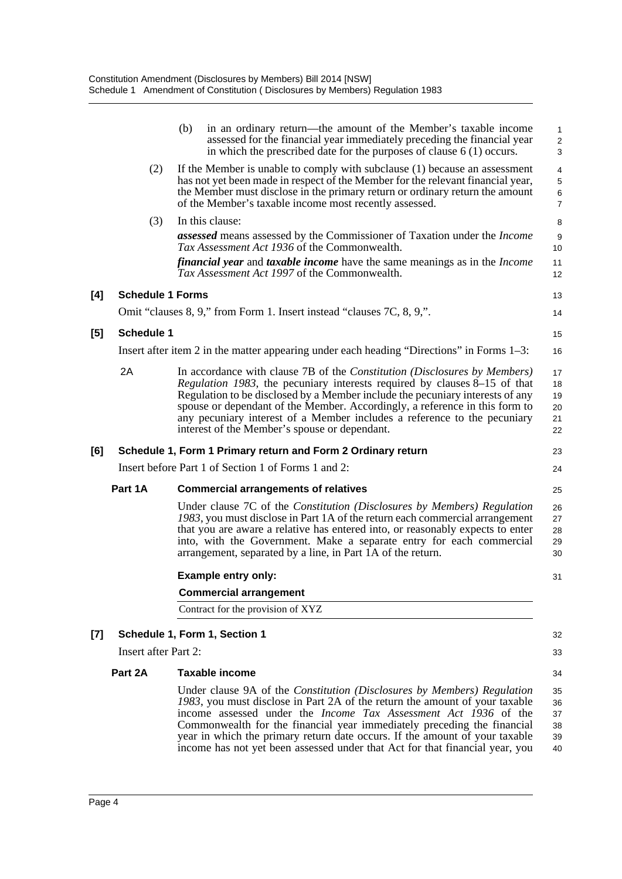|     |                             | (b)<br>in an ordinary return—the amount of the Member's taxable income<br>assessed for the financial year immediately preceding the financial year<br>in which the prescribed date for the purposes of clause $6(1)$ occurs.                                                                                                                                                                                                                                                      | $\mathbf{1}$<br>$\sqrt{2}$<br>3                             |
|-----|-----------------------------|-----------------------------------------------------------------------------------------------------------------------------------------------------------------------------------------------------------------------------------------------------------------------------------------------------------------------------------------------------------------------------------------------------------------------------------------------------------------------------------|-------------------------------------------------------------|
|     | (2)                         | If the Member is unable to comply with subclause (1) because an assessment<br>has not yet been made in respect of the Member for the relevant financial year,<br>the Member must disclose in the primary return or ordinary return the amount<br>of the Member's taxable income most recently assessed.                                                                                                                                                                           | $\overline{4}$<br>$\sqrt{5}$<br>$\,6\,$<br>$\boldsymbol{7}$ |
|     | (3)                         | In this clause:                                                                                                                                                                                                                                                                                                                                                                                                                                                                   | 8                                                           |
|     |                             | <b>assessed</b> means assessed by the Commissioner of Taxation under the <i>Income</i><br><i>Tax Assessment Act 1936</i> of the Commonwealth.                                                                                                                                                                                                                                                                                                                                     | $9\,$<br>10                                                 |
|     |                             | <i>financial year</i> and <i>taxable income</i> have the same meanings as in the <i>Income</i><br>Tax Assessment Act 1997 of the Commonwealth.                                                                                                                                                                                                                                                                                                                                    | 11<br>12                                                    |
| [4] | <b>Schedule 1 Forms</b>     |                                                                                                                                                                                                                                                                                                                                                                                                                                                                                   | 13                                                          |
|     |                             | Omit "clauses 8, 9," from Form 1. Insert instead "clauses 7C, 8, 9,".                                                                                                                                                                                                                                                                                                                                                                                                             | 14                                                          |
| [5] | <b>Schedule 1</b>           |                                                                                                                                                                                                                                                                                                                                                                                                                                                                                   | 15                                                          |
|     |                             | Insert after item 2 in the matter appearing under each heading "Directions" in Forms 1–3:                                                                                                                                                                                                                                                                                                                                                                                         | 16                                                          |
|     | 2A                          | In accordance with clause 7B of the <i>Constitution (Disclosures by Members)</i><br><i>Regulation 1983</i> , the pecuniary interests required by clauses 8–15 of that<br>Regulation to be disclosed by a Member include the pecuniary interests of any<br>spouse or dependant of the Member. Accordingly, a reference in this form to<br>any pecuniary interest of a Member includes a reference to the pecuniary<br>interest of the Member's spouse or dependant.                | 17<br>18<br>19<br>$20\,$<br>21<br>22                        |
| [6] |                             | Schedule 1, Form 1 Primary return and Form 2 Ordinary return                                                                                                                                                                                                                                                                                                                                                                                                                      | 23                                                          |
|     |                             | Insert before Part 1 of Section 1 of Forms 1 and 2:                                                                                                                                                                                                                                                                                                                                                                                                                               | 24                                                          |
|     | Part 1A                     | <b>Commercial arrangements of relatives</b>                                                                                                                                                                                                                                                                                                                                                                                                                                       | 25                                                          |
|     |                             | Under clause 7C of the Constitution (Disclosures by Members) Regulation<br>1983, you must disclose in Part 1A of the return each commercial arrangement<br>that you are aware a relative has entered into, or reasonably expects to enter<br>into, with the Government. Make a separate entry for each commercial<br>arrangement, separated by a line, in Part 1A of the return.                                                                                                  | 26<br>27<br>28<br>29<br>30                                  |
|     |                             | <b>Example entry only:</b>                                                                                                                                                                                                                                                                                                                                                                                                                                                        | 31                                                          |
|     |                             | <b>Commercial arrangement</b>                                                                                                                                                                                                                                                                                                                                                                                                                                                     |                                                             |
|     |                             | Contract for the provision of XYZ                                                                                                                                                                                                                                                                                                                                                                                                                                                 |                                                             |
| [7] |                             | Schedule 1, Form 1, Section 1                                                                                                                                                                                                                                                                                                                                                                                                                                                     | 32                                                          |
|     | <b>Insert after Part 2:</b> |                                                                                                                                                                                                                                                                                                                                                                                                                                                                                   | 33                                                          |
|     | Part 2A                     | Taxable income                                                                                                                                                                                                                                                                                                                                                                                                                                                                    | 34                                                          |
|     |                             | Under clause 9A of the <i>Constitution (Disclosures by Members) Regulation</i><br>1983, you must disclose in Part 2A of the return the amount of your taxable<br>income assessed under the <i>Income Tax Assessment Act 1936</i> of the<br>Commonwealth for the financial year immediately preceding the financial<br>year in which the primary return date occurs. If the amount of your taxable<br>income has not yet been assessed under that Act for that financial year, you | 35<br>36<br>37<br>38<br>39<br>40                            |

 $[4]$ 

 $[5]$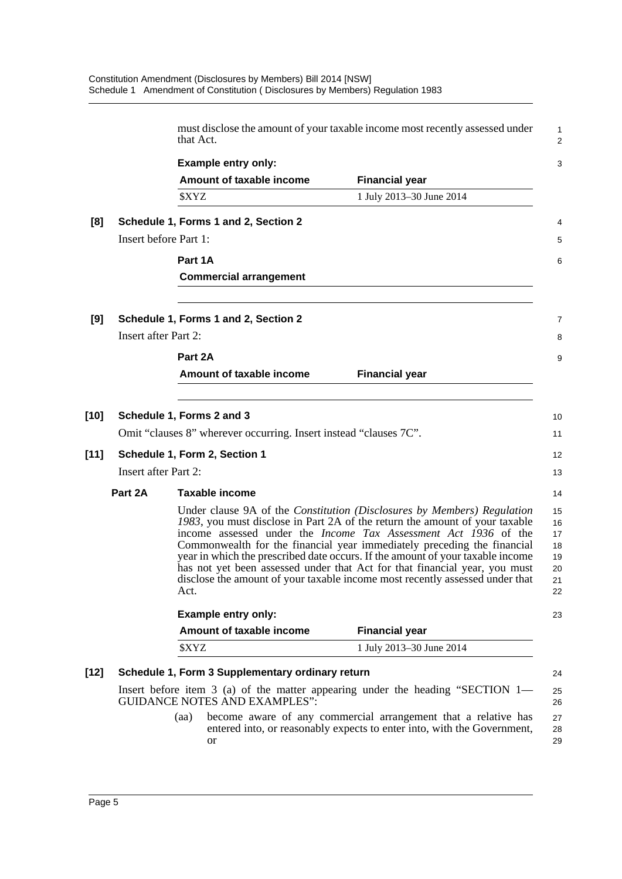|                                                                                                                                                                                                                                                                                                                                                                                                                                                                                                                                                                     |                                      | that Act.                                                         |                                                                                                                                           |  |  |  |
|---------------------------------------------------------------------------------------------------------------------------------------------------------------------------------------------------------------------------------------------------------------------------------------------------------------------------------------------------------------------------------------------------------------------------------------------------------------------------------------------------------------------------------------------------------------------|--------------------------------------|-------------------------------------------------------------------|-------------------------------------------------------------------------------------------------------------------------------------------|--|--|--|
|                                                                                                                                                                                                                                                                                                                                                                                                                                                                                                                                                                     |                                      | <b>Example entry only:</b>                                        |                                                                                                                                           |  |  |  |
|                                                                                                                                                                                                                                                                                                                                                                                                                                                                                                                                                                     |                                      | Amount of taxable income                                          | <b>Financial year</b>                                                                                                                     |  |  |  |
|                                                                                                                                                                                                                                                                                                                                                                                                                                                                                                                                                                     |                                      | \$XYZ                                                             | 1 July 2013-30 June 2014                                                                                                                  |  |  |  |
| [8]                                                                                                                                                                                                                                                                                                                                                                                                                                                                                                                                                                 | Schedule 1, Forms 1 and 2, Section 2 |                                                                   |                                                                                                                                           |  |  |  |
|                                                                                                                                                                                                                                                                                                                                                                                                                                                                                                                                                                     | Insert before Part 1:                |                                                                   |                                                                                                                                           |  |  |  |
|                                                                                                                                                                                                                                                                                                                                                                                                                                                                                                                                                                     |                                      | Part 1A                                                           |                                                                                                                                           |  |  |  |
|                                                                                                                                                                                                                                                                                                                                                                                                                                                                                                                                                                     |                                      | <b>Commercial arrangement</b>                                     |                                                                                                                                           |  |  |  |
| [9]                                                                                                                                                                                                                                                                                                                                                                                                                                                                                                                                                                 |                                      | Schedule 1, Forms 1 and 2, Section 2                              |                                                                                                                                           |  |  |  |
|                                                                                                                                                                                                                                                                                                                                                                                                                                                                                                                                                                     | <b>Insert after Part 2:</b>          |                                                                   |                                                                                                                                           |  |  |  |
|                                                                                                                                                                                                                                                                                                                                                                                                                                                                                                                                                                     |                                      | Part 2A                                                           |                                                                                                                                           |  |  |  |
|                                                                                                                                                                                                                                                                                                                                                                                                                                                                                                                                                                     |                                      | Amount of taxable income                                          | <b>Financial year</b>                                                                                                                     |  |  |  |
|                                                                                                                                                                                                                                                                                                                                                                                                                                                                                                                                                                     |                                      |                                                                   |                                                                                                                                           |  |  |  |
| [10]                                                                                                                                                                                                                                                                                                                                                                                                                                                                                                                                                                |                                      | Schedule 1, Forms 2 and 3                                         |                                                                                                                                           |  |  |  |
|                                                                                                                                                                                                                                                                                                                                                                                                                                                                                                                                                                     |                                      | Omit "clauses 8" wherever occurring. Insert instead "clauses 7C". |                                                                                                                                           |  |  |  |
| [11]                                                                                                                                                                                                                                                                                                                                                                                                                                                                                                                                                                | Schedule 1, Form 2, Section 1        |                                                                   |                                                                                                                                           |  |  |  |
|                                                                                                                                                                                                                                                                                                                                                                                                                                                                                                                                                                     |                                      | <b>Insert after Part 2:</b>                                       |                                                                                                                                           |  |  |  |
|                                                                                                                                                                                                                                                                                                                                                                                                                                                                                                                                                                     | Part 2A                              | Taxable income                                                    |                                                                                                                                           |  |  |  |
| Under clause 9A of the Constitution (Disclosures by Members) Regulation<br>1983, you must disclose in Part 2A of the return the amount of your taxable<br>income assessed under the <i>Income Tax Assessment Act 1936</i> of the<br>Commonwealth for the financial year immediately preceding the financial<br>year in which the prescribed date occurs. If the amount of your taxable income<br>has not yet been assessed under that Act for that financial year, you must<br>disclose the amount of your taxable income most recently assessed under that<br>Act. |                                      |                                                                   |                                                                                                                                           |  |  |  |
|                                                                                                                                                                                                                                                                                                                                                                                                                                                                                                                                                                     |                                      | <b>Example entry only:</b>                                        |                                                                                                                                           |  |  |  |
|                                                                                                                                                                                                                                                                                                                                                                                                                                                                                                                                                                     |                                      | Amount of taxable income                                          | <b>Financial year</b>                                                                                                                     |  |  |  |
|                                                                                                                                                                                                                                                                                                                                                                                                                                                                                                                                                                     |                                      | \$XYZ                                                             | 1 July 2013-30 June 2014                                                                                                                  |  |  |  |
| [12]                                                                                                                                                                                                                                                                                                                                                                                                                                                                                                                                                                |                                      | Schedule 1, Form 3 Supplementary ordinary return                  |                                                                                                                                           |  |  |  |
|                                                                                                                                                                                                                                                                                                                                                                                                                                                                                                                                                                     |                                      | <b>GUIDANCE NOTES AND EXAMPLES":</b>                              | Insert before item 3 (a) of the matter appearing under the heading "SECTION $1-$                                                          |  |  |  |
|                                                                                                                                                                                                                                                                                                                                                                                                                                                                                                                                                                     |                                      | (aa)<br>or                                                        | become aware of any commercial arrangement that a relative has<br>entered into, or reasonably expects to enter into, with the Government, |  |  |  |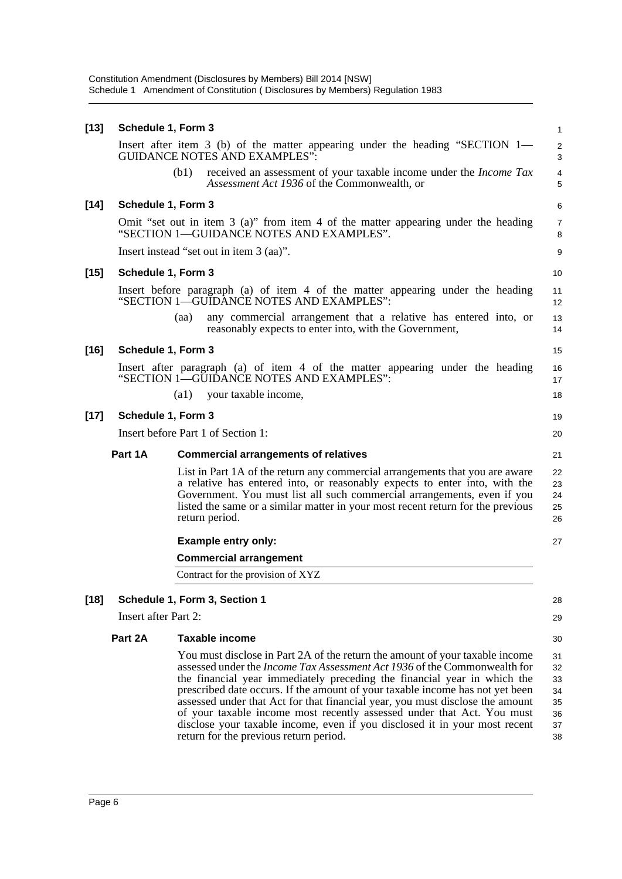Constitution Amendment (Disclosures by Members) Bill 2014 [NSW] Schedule 1 Amendment of Constitution ( Disclosures by Members) Regulation 1983

| $[13]$ | Schedule 1, Form 3          |                    |                                                                                                                                                                                                                                                                                                                                                                                                                                                                                                                                                                                                           | 1                                            |
|--------|-----------------------------|--------------------|-----------------------------------------------------------------------------------------------------------------------------------------------------------------------------------------------------------------------------------------------------------------------------------------------------------------------------------------------------------------------------------------------------------------------------------------------------------------------------------------------------------------------------------------------------------------------------------------------------------|----------------------------------------------|
|        |                             |                    | Insert after item 3 (b) of the matter appearing under the heading "SECTION 1—<br><b>GUIDANCE NOTES AND EXAMPLES":</b>                                                                                                                                                                                                                                                                                                                                                                                                                                                                                     | $\overline{\mathbf{c}}$<br>3                 |
|        |                             | (b1)               | received an assessment of your taxable income under the <i>Income Tax</i><br>Assessment Act 1936 of the Commonwealth, or                                                                                                                                                                                                                                                                                                                                                                                                                                                                                  | 4<br>5                                       |
| $[14]$ | Schedule 1, Form 3          |                    |                                                                                                                                                                                                                                                                                                                                                                                                                                                                                                                                                                                                           | 6                                            |
|        |                             |                    | Omit "set out in item $3$ (a)" from item $4$ of the matter appearing under the heading<br>"SECTION 1-GUIDANCE NOTES AND EXAMPLES".                                                                                                                                                                                                                                                                                                                                                                                                                                                                        | 7<br>8                                       |
|        |                             |                    | Insert instead "set out in item 3 (aa)".                                                                                                                                                                                                                                                                                                                                                                                                                                                                                                                                                                  | 9                                            |
| [15]   | Schedule 1, Form 3          |                    |                                                                                                                                                                                                                                                                                                                                                                                                                                                                                                                                                                                                           | 10                                           |
|        |                             |                    | Insert before paragraph (a) of item 4 of the matter appearing under the heading<br>"SECTION 1—GUIDANCE NOTES AND EXAMPLES":                                                                                                                                                                                                                                                                                                                                                                                                                                                                               | 11<br>12                                     |
|        |                             | (aa)               | any commercial arrangement that a relative has entered into, or<br>reasonably expects to enter into, with the Government,                                                                                                                                                                                                                                                                                                                                                                                                                                                                                 | 13<br>14                                     |
| [16]   | Schedule 1, Form 3          |                    |                                                                                                                                                                                                                                                                                                                                                                                                                                                                                                                                                                                                           | 15                                           |
|        |                             |                    | Insert after paragraph (a) of item 4 of the matter appearing under the heading<br>"SECTION 1-GUIDANCE NOTES AND EXAMPLES":                                                                                                                                                                                                                                                                                                                                                                                                                                                                                | 16<br>17                                     |
|        |                             | $\left( a1\right)$ | your taxable income,                                                                                                                                                                                                                                                                                                                                                                                                                                                                                                                                                                                      | 18                                           |
| $[17]$ | Schedule 1, Form 3          |                    |                                                                                                                                                                                                                                                                                                                                                                                                                                                                                                                                                                                                           | 19                                           |
|        |                             |                    | Insert before Part 1 of Section 1:                                                                                                                                                                                                                                                                                                                                                                                                                                                                                                                                                                        | 20                                           |
|        | Part 1A                     |                    | <b>Commercial arrangements of relatives</b>                                                                                                                                                                                                                                                                                                                                                                                                                                                                                                                                                               | 21                                           |
|        |                             |                    | List in Part 1A of the return any commercial arrangements that you are aware<br>a relative has entered into, or reasonably expects to enter into, with the<br>Government. You must list all such commercial arrangements, even if you<br>listed the same or a similar matter in your most recent return for the previous<br>return period.                                                                                                                                                                                                                                                                | 22<br>23<br>24<br>25<br>26                   |
|        |                             |                    | <b>Example entry only:</b>                                                                                                                                                                                                                                                                                                                                                                                                                                                                                                                                                                                | 27                                           |
|        |                             |                    | <b>Commercial arrangement</b>                                                                                                                                                                                                                                                                                                                                                                                                                                                                                                                                                                             |                                              |
|        |                             |                    | Contract for the provision of XYZ                                                                                                                                                                                                                                                                                                                                                                                                                                                                                                                                                                         |                                              |
| $[18]$ |                             |                    | Schedule 1, Form 3, Section 1                                                                                                                                                                                                                                                                                                                                                                                                                                                                                                                                                                             | 28                                           |
|        | <b>Insert after Part 2:</b> |                    |                                                                                                                                                                                                                                                                                                                                                                                                                                                                                                                                                                                                           | 29                                           |
|        | Part 2A                     |                    | <b>Taxable income</b>                                                                                                                                                                                                                                                                                                                                                                                                                                                                                                                                                                                     | 30                                           |
|        |                             |                    | You must disclose in Part 2A of the return the amount of your taxable income<br>assessed under the Income Tax Assessment Act 1936 of the Commonwealth for<br>the financial year immediately preceding the financial year in which the<br>prescribed date occurs. If the amount of your taxable income has not yet been<br>assessed under that Act for that financial year, you must disclose the amount<br>of your taxable income most recently assessed under that Act. You must<br>disclose your taxable income, even if you disclosed it in your most recent<br>return for the previous return period. | 31<br>32<br>33<br>34<br>35<br>36<br>37<br>38 |
|        |                             |                    |                                                                                                                                                                                                                                                                                                                                                                                                                                                                                                                                                                                                           |                                              |